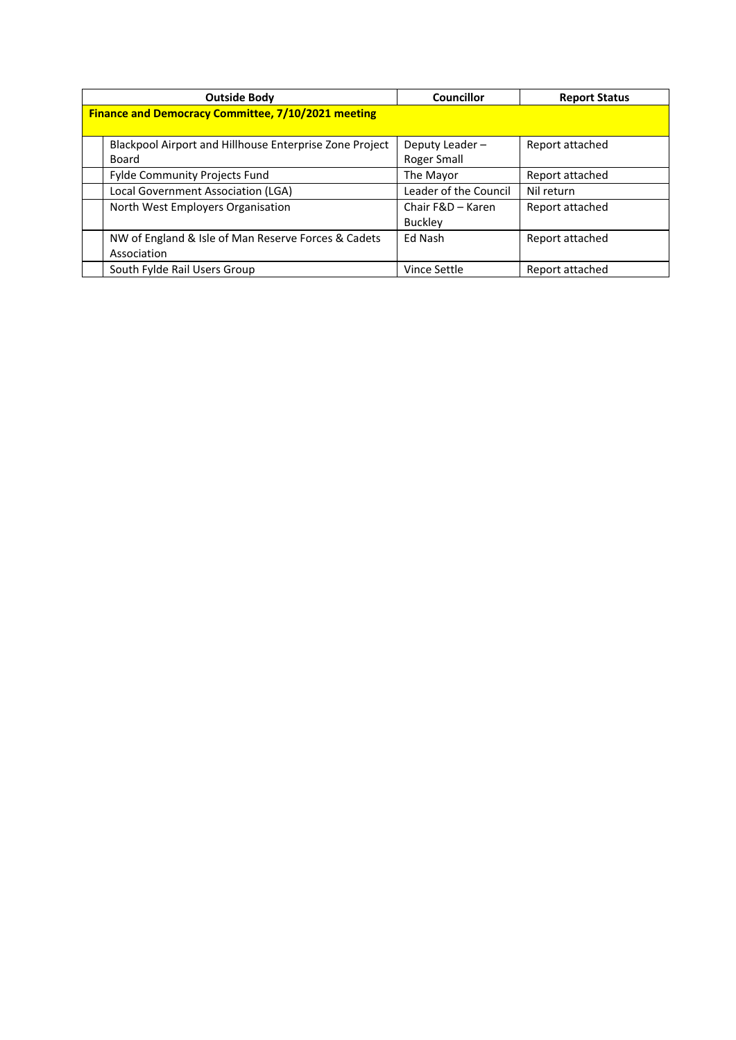|                                                           | <b>Outside Body</b>                                                        | Councillor                          | <b>Report Status</b>          |
|-----------------------------------------------------------|----------------------------------------------------------------------------|-------------------------------------|-------------------------------|
| <b>Finance and Democracy Committee, 7/10/2021 meeting</b> |                                                                            |                                     |                               |
|                                                           | <b>Blackpool Airport and Hillhouse Enterprise Zone Project</b><br>Board    | Deputy Leader-<br>Roger Small       | Report attached               |
|                                                           | <b>Fylde Community Projects Fund</b><br>Local Government Association (LGA) | The Mayor<br>Leader of the Council  | Report attached<br>Nil return |
|                                                           | North West Employers Organisation                                          | Chair F&D - Karen<br><b>Buckley</b> | Report attached               |
|                                                           | NW of England & Isle of Man Reserve Forces & Cadets<br>Association         | Ed Nash                             | Report attached               |
|                                                           | South Fylde Rail Users Group                                               | Vince Settle                        | Report attached               |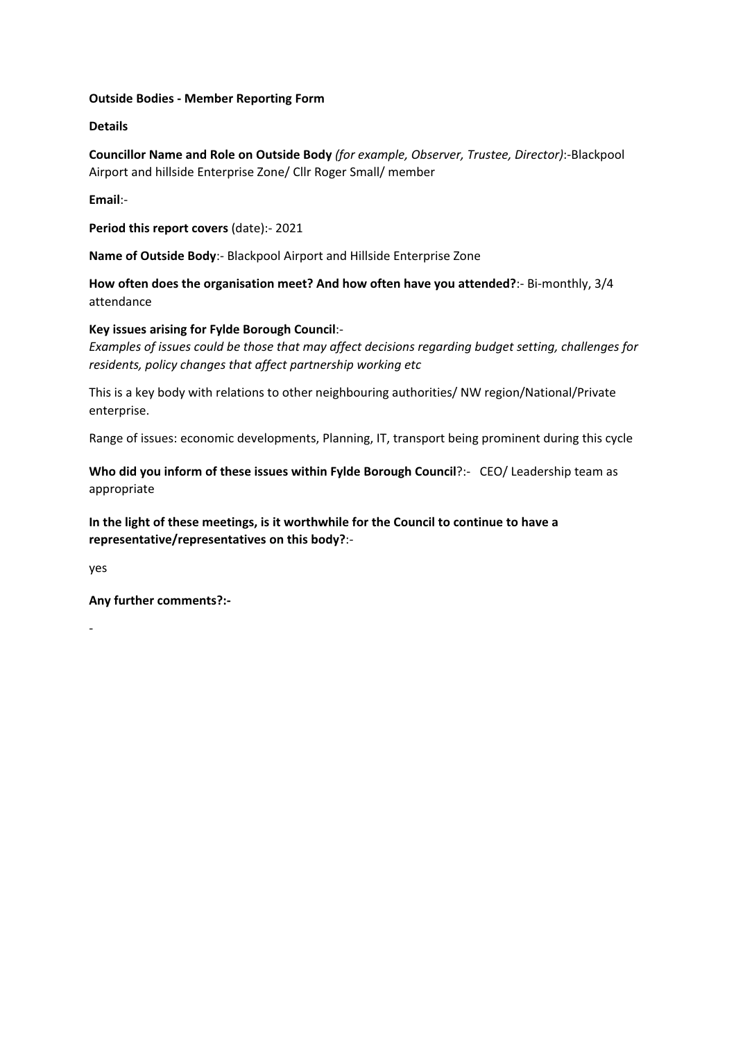### **Outside Bodies ‐ Member Reporting Form**

### **Details**

**Councillor Name and Role on Outside Body** *(for example, Observer, Trustee, Director)*:‐Blackpool Airport and hillside Enterprise Zone/ Cllr Roger Small/ member

**Email**:‐

**Period this report covers** (date):‐ 2021

**Name of Outside Body**:‐ Blackpool Airport and Hillside Enterprise Zone

**How often does the organisation meet? And how often have you attended?**:‐ Bi‐monthly, 3/4 attendance

### **Key issues arising for Fylde Borough Council**:‐

*Examples of issues could be those that may affect decisions regarding budget setting, challenges for residents, policy changes that affect partnership working etc*

This is a key body with relations to other neighbouring authorities/ NW region/National/Private enterprise.

Range of issues: economic developments, Planning, IT, transport being prominent during this cycle

**Who did you inform of these issues within Fylde Borough Council**?:‐ CEO/ Leadership team as appropriate

**In the light of these meetings, is it worthwhile for the Council to continue to have a representative/representatives on this body?**:‐

yes

‐

**Any further comments?:‐**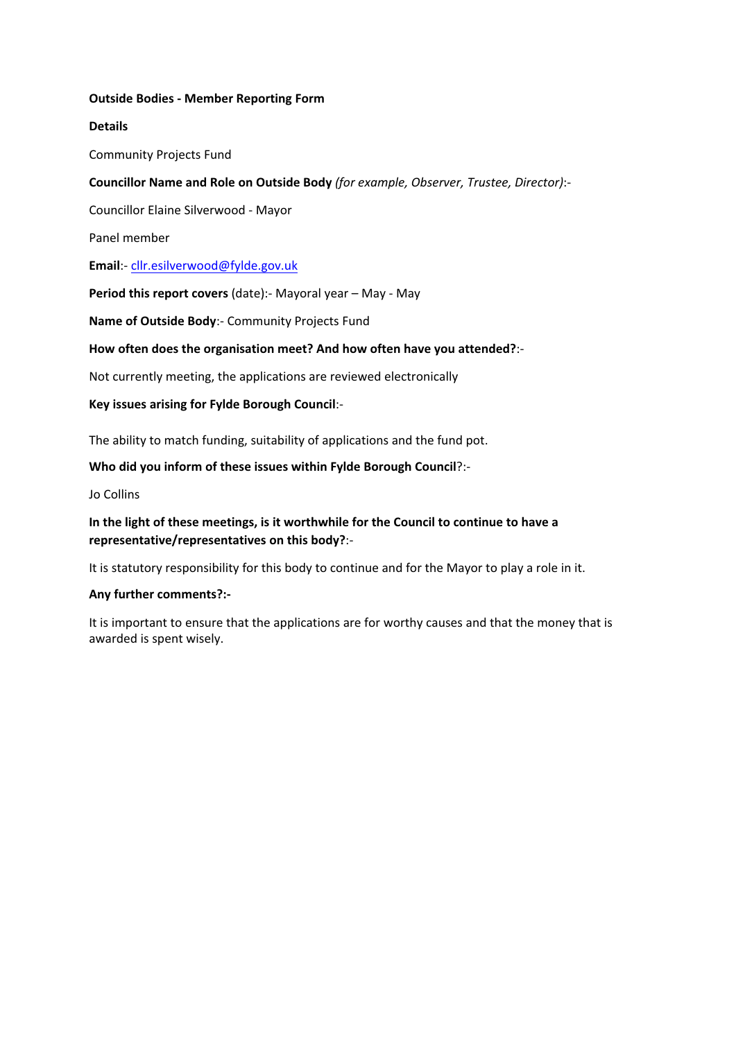### **Outside Bodies ‐ Member Reporting Form**

# **Details**

Community Projects Fund

# **Councillor Name and Role on Outside Body** *(for example, Observer, Trustee, Director)*:‐

Councillor Elaine Silverwood ‐ Mayor

Panel member

**Email**:‐ [cllr.esilverwood@fylde.gov.uk](mailto:cllr.esilverwood@fylde.gov.uk)

**Period this report covers** (date):‐ Mayoral year – May ‐ May

**Name of Outside Body**:‐ Community Projects Fund

# **How often does the organisation meet? And how often have you attended?**:‐

Not currently meeting, the applications are reviewed electronically

# **Key issues arising for Fylde Borough Council**:‐

The ability to match funding, suitability of applications and the fund pot.

# **Who did you inform of these issues within Fylde Borough Council**?:‐

Jo Collins

# **In the light of these meetings, is it worthwhile for the Council to continue to have a representative/representatives on this body?**:‐

It is statutory responsibility for this body to continue and for the Mayor to play a role in it.

### **Any further comments?:‐**

It is important to ensure that the applications are for worthy causes and that the money that is awarded is spent wisely.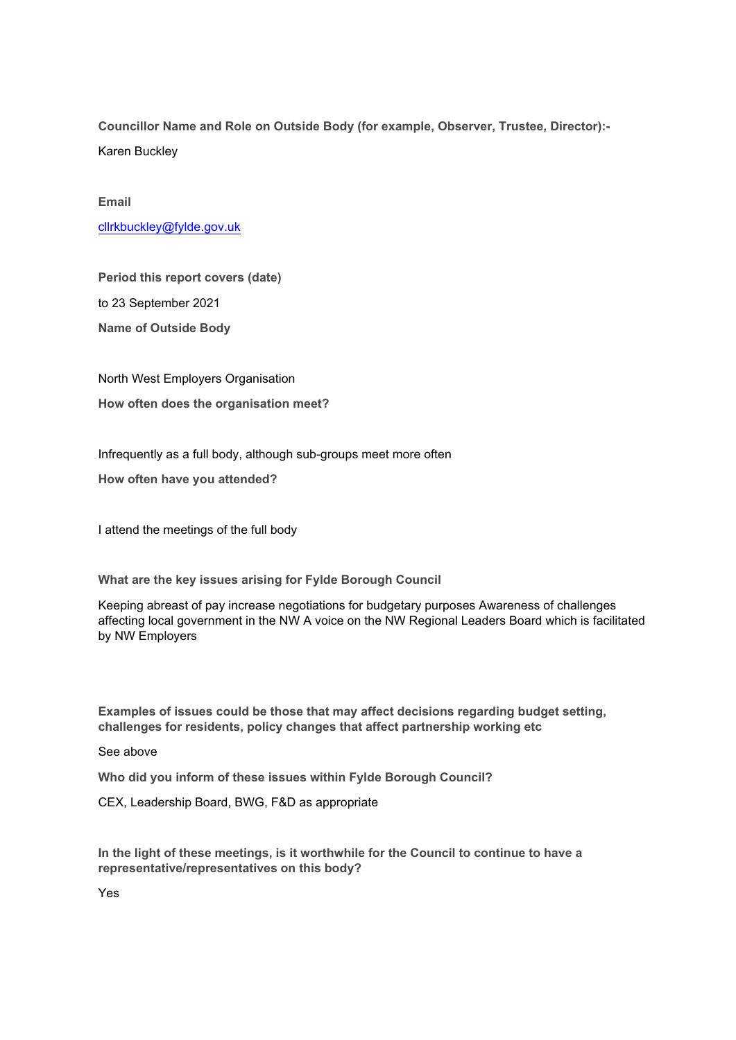**Councillor Name and Role on Outside Body (for example, Observer, Trustee, Director):** Karen Buckley

**Email**

[cllrkbuckley@fylde.gov.uk](mailto:cllrkbuckley@fylde.gov.uk)

**Period this report covers (date)** to 23 September 2021 **Name of Outside Body**

North West Employers Organisation **How often does the organisation meet?**

Infrequently as a full body, although sub-groups meet more often

**How often have you attended?**

I attend the meetings of the full body

**What are the key issues arising for Fylde Borough Council**

Keeping abreast of pay increase negotiations for budgetary purposes Awareness of challenges affecting local government in the NW A voice on the NW Regional Leaders Board which is facilitated by NW Employers

**Examples of issues could be those that may affect decisions regarding budget setting, challenges for residents, policy changes that affect partnership working etc**

#### See above

**Who did you inform of these issues within Fylde Borough Council?**

CEX, Leadership Board, BWG, F&D as appropriate

**In the light of these meetings, is it worthwhile for the Council to continue to have a representative/representatives on this body?**

Yes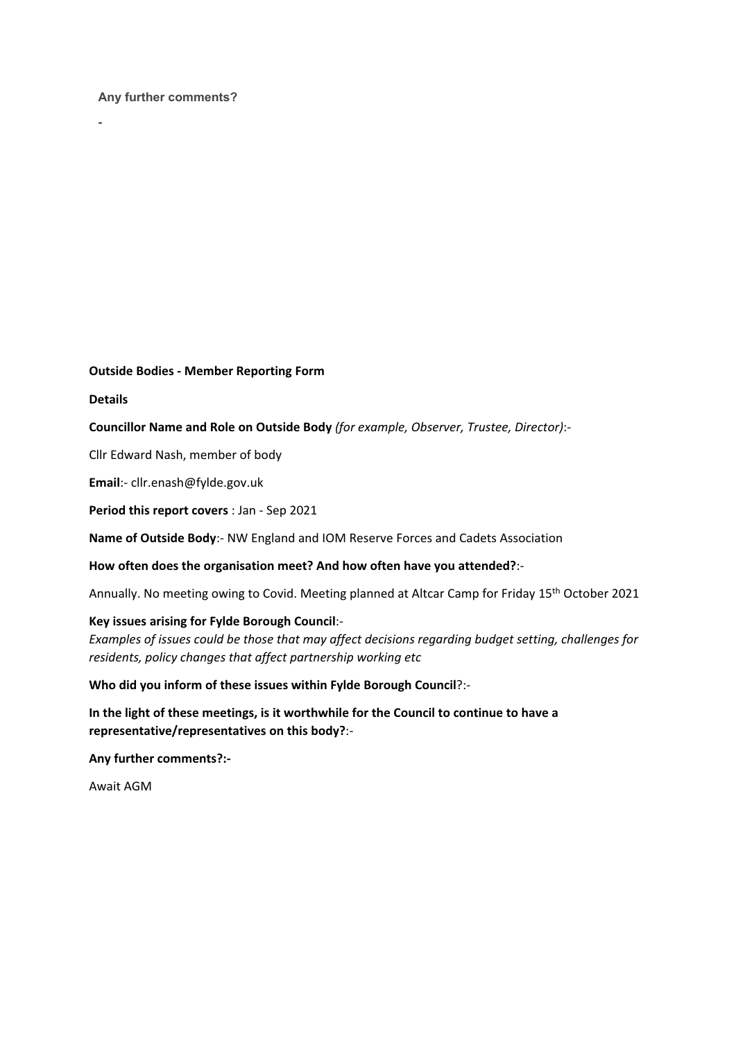#### **Any further comments?**

#### **Outside Bodies ‐ Member Reporting Form**

**Details**

-

### **Councillor Name and Role on Outside Body** *(for example, Observer, Trustee, Director)*:‐

Cllr Edward Nash, member of body

**Email**:‐ cllr.enash@fylde.gov.uk

**Period this report covers** : Jan ‐ Sep 2021

**Name of Outside Body**:‐ NW England and IOM Reserve Forces and Cadets Association

#### **How often does the organisation meet? And how often have you attended?**:‐

Annually. No meeting owing to Covid. Meeting planned at Altcar Camp for Friday 15<sup>th</sup> October 2021

#### **Key issues arising for Fylde Borough Council**:‐

*Examples of issues could be those that may affect decisions regarding budget setting, challenges for residents, policy changes that affect partnership working etc*

### **Who did you inform of these issues within Fylde Borough Council**?:‐

**In the light of these meetings, is it worthwhile for the Council to continue to have a representative/representatives on this body?**:‐

**Any further comments?:‐**

Await AGM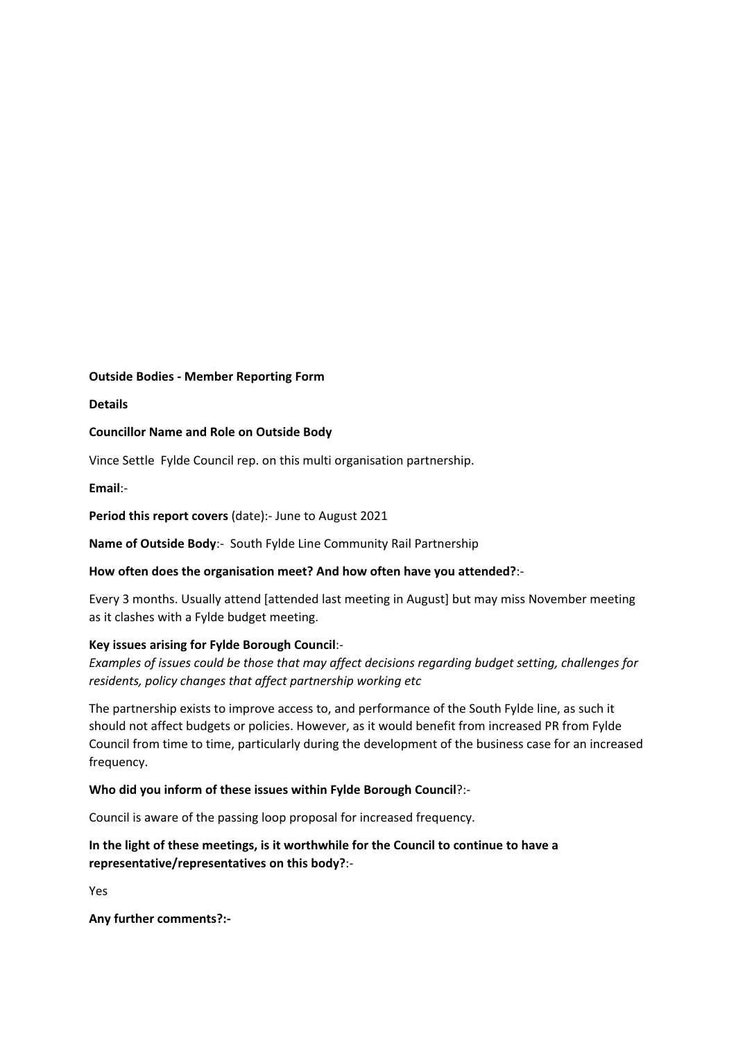### **Outside Bodies ‐ Member Reporting Form**

**Details**

### **Councillor Name and Role on Outside Body**

Vince Settle Fylde Council rep. on this multi organisation partnership.

**Email**:‐

**Period this report covers** (date):‐ June to August 2021

**Name of Outside Body**:‐ South Fylde Line Community Rail Partnership

### **How often does the organisation meet? And how often have you attended?**:‐

Every 3 months. Usually attend [attended last meeting in August] but may miss November meeting as it clashes with a Fylde budget meeting.

### **Key issues arising for Fylde Borough Council**:‐

*Examples of issues could be those that may affect decisions regarding budget setting, challenges for residents, policy changes that affect partnership working etc*

The partnership exists to improve access to, and performance of the South Fylde line, as such it should not affect budgets or policies. However, as it would benefit from increased PR from Fylde Council from time to time, particularly during the development of the business case for an increased frequency.

### **Who did you inform of these issues within Fylde Borough Council**?:‐

Council is aware of the passing loop proposal for increased frequency.

# **In the light of these meetings, is it worthwhile for the Council to continue to have a representative/representatives on this body?**:‐

Yes

**Any further comments?:‐**